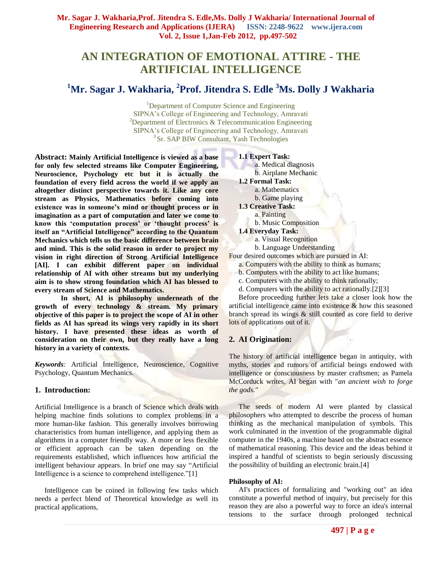# **AN INTEGRATION OF EMOTIONAL ATTIRE - THE ARTIFICIAL INTELLIGENCE**

## **<sup>1</sup>Mr. Sagar J. Wakharia, 2 Prof. Jitendra S. Edle <sup>3</sup>Ms. Dolly J Wakharia**

<sup>1</sup>Department of Computer Science and Engineering SIPNA's College of Engineering and Technology, Amravati <sup>2</sup>Department of Electronics  $&$  Telecommunication Engineering SIPNA's College of Engineering and Technology, Amravati <sup>3</sup> Sr. SAP BIW Consultant, Yash Technologies

**Abstract: Mainly Artificial Intelligence is viewed as a base for only few selected streams like Computer Engineering, Neuroscience, Psychology etc but it is actually the foundation of every field across the world if we apply an altogether distinct perspective towards it. Like any core stream as Physics, Mathematics before coming into**  existence was in someone's mind or thought process or in **imagination as a part of computation and later we come to know this "computation process" or "thought process" is itself an "Artificial Intelligence" according to the Quantum Mechanics which tells us the basic difference between brain and mind. This is the solid reason in order to project my vision in right direction of Strong Artificial Intelligence [AI]. I can exhibit different paper on individual relationship of AI with other streams but my underlying aim is to show strong foundation which AI has blessed to every stream of Science and Mathematics.**

**In short, AI is philosophy underneath of the growth of every technology & stream. My primary objective of this paper is to project the scope of AI in other fields as AI has spread its wings very rapidly in its short history. I have presented these ideas as worth of consideration on their own, but they really have a long history in a variety of contexts.**

*Keywords:* Artificial Intelligence, Neuroscience, Cognitive Psychology, Quantum Mechanics.

## **1. Introduction:**

Artificial Intelligence is a branch of Science which deals with helping machine finds solutions to complex problems in a more human-like fashion. This generally involves borrowing characteristics from human intelligence, and applying them as algorithms in a computer friendly way. A more or less flexible or efficient approach can be taken depending on the requirements established, which influences how artificial the intelligent behaviour appears. In brief one may say "Artificial Intelligence is a science to comprehend intelligence."[1]

Intelligence can be coined in following few tasks which needs a perfect blend of Theoretical knowledge as well its practical applications,

## **1.1 Expert Task:**

a. Medical diagnosis b. Airplane Mechanic

**1.2 Formal Task:** a. Mathematics

b. Game playing

- **1.3 Creative Task:**
- a. Painting
	- b. Music Composition
- **1.4 Everyday Task:**
	- a. Visual Recognition
	- b. Language Understanding

Four desired outcomes which are pursued in AI:

- a. Computers with the ability to think as humans;
- b. Computers with the ability to act like humans;
- c. Computers with the ability to think rationally;
- d. Computers with the ability to act rationally.[2][3]

Before proceeding further lets take a closer look how the artificial intelligence came into existence  $\&$  how this seasoned branch spread its wings & still counted as core field to derive lots of applications out of it.

## **2. AI Origination:**

The history of artificial intelligence began in antiquity, with myths, stories and rumors of artificial beings endowed with intelligence or consciousness by master craftsmen; as Pamela McCorduck writes, AI began with "*an ancient wish to forge the gods."*

The seeds of modern AI were planted by classical philosophers who attempted to describe the process of human thinking as the mechanical manipulation of symbols. This work culminated in the invention of the programmable digital computer in the 1940s, a machine based on the abstract essence of mathematical reasoning. This device and the ideas behind it inspired a handful of scientists to begin seriously discussing the possibility of building an electronic brain.[4]

## **Philosophy of AI:**

AI's practices of formalizing and "working out" an idea constitute a powerful method of inquiry, but precisely for this reason they are also a powerful way to force an idea's internal tensions to the surface through prolonged technical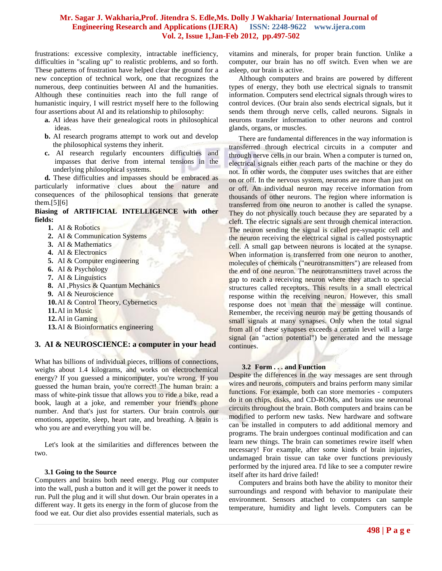frustrations: excessive complexity, intractable inefficiency, difficulties in "scaling up" to realistic problems, and so forth. These patterns of frustration have helped clear the ground for a new conception of technical work, one that recognizes the numerous, deep continuities between AI and the humanities. Although these continuities reach into the full range of humanistic inquiry, I will restrict myself here to the following four assertions about AI and its relationship to philosophy:

- **a.** AI ideas have their genealogical roots in philosophical ideas.
- **b.** AI research programs attempt to work out and develop the philosophical systems they inherit.
- **c.** AI research regularly encounters difficulties and impasses that derive from internal tensions in the underlying philosophical systems.

**d.** These difficulties and impasses should be embraced as particularly informative clues about the nature and consequences of the philosophical tensions that generate them.[5][6]

#### **Biasing of ARTIFICIAL INTELLIGENCE with other fields:**

- **1.** AI & Robotics
- **2.** AI & Communication Systems
- **3.** AI & Mathematics
- **4.** AI & Electronics
- **5.** AI & Computer engineering
- **6.** AI & Psychology
- **7.** AI & Linguistics
- **8.** AI ,Physics & Quantum Mechanics
- **9.** AI & Neuroscience
- **10.**AI & Control Theory, Cybernetics
- **11.**AI in Music
- **12.**AI in Gaming
- **13.**AI & Bioinformatics engineering

## **3. AI & NEUROSCIENCE: a computer in your head**

What has billions of individual pieces, trillions of connections, weighs about 1.4 kilograms, and works on electrochemical energy? If you guessed a minicomputer, you're wrong. If you guessed the human brain, you're correct! The human brain: a mass of white-pink tissue that allows you to ride a bike, read a book, laugh at a joke, and remember your friend's phone number. And that's just for starters. Our brain controls our emotions, appetite, sleep, heart rate, and breathing. A brain is who you are and everything you will be.

Let's look at the similarities and differences between the two.

#### **3.1 Going to the Source**

Computers and brains both need energy. Plug our computer into the wall, push a button and it will get the power it needs to run. Pull the plug and it will shut down. Our brain operates in a different way. It gets its energy in the form of glucose from the food we eat. Our diet also provides essential materials, such as

vitamins and minerals, for proper brain function. Unlike a computer, our brain has no off switch. Even when we are asleep, our brain is active.

Although computers and brains are powered by different types of energy, they both use electrical signals to transmit information. Computers send electrical signals through wires to control devices. (Our brain also sends electrical signals, but it sends them through nerve cells, called neurons. Signals in neurons transfer information to other neurons and control glands, organs, or muscles.

There are fundamental differences in the way information is transferred through electrical circuits in a computer and through nerve cells in our brain. When a computer is turned on, electrical signals either reach parts of the machine or they do not. In other words, the computer uses switches that are either on or off. In the nervous system, neurons are more than just on or off. An individual neuron may receive information from thousands of other neurons. The region where information is transferred from one neuron to another is called the synapse. They do not physically touch because they are separated by a cleft. The electric signals are sent through chemical interaction. The neuron sending the signal is called pre-synaptic cell and the neuron receiving the electrical signal is called postsynaptic cell. A small gap between neurons is located at the synapse. When information is transferred from one neuron to another, molecules of chemicals ("neurotransmitters") are released from the end of one neuron. The neurotransmitters travel across the gap to reach a receiving neuron where they attach to special structures called receptors. This results in a small electrical response within the receiving neuron. However, this small response does not mean that the message will continue. Remember, the receiving neuron may be getting thousands of small signals at many synapses. Only when the total signal from all of these synapses exceeds a certain level will a large signal (an "action potential") be generated and the message continues.

#### **3.2 Form . . . and Function**

Despite the differences in the way messages are sent through wires and neurons, computers and brains perform many similar functions. For example, both can store memories - computers do it on chips, disks, and CD-ROMs, and brains use neuronal circuits throughout the brain. Both computers and brains can be modified to perform new tasks. New hardware and software can be installed in computers to add additional memory and programs. The brain undergoes continual modification and can learn new things. The brain can sometimes rewire itself when necessary! For example, after some kinds of brain injuries, undamaged brain tissue can take over functions previously performed by the injured area. I'd like to see a computer rewire itself after its hard drive failed!

Computers and brains both have the ability to monitor their surroundings and respond with behavior to manipulate their environment. Sensors attached to computers can sample temperature, humidity and light levels. Computers can be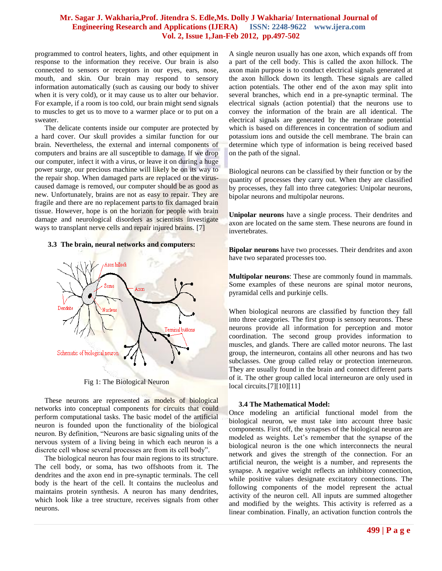programmed to control heaters, lights, and other equipment in response to the information they receive. Our brain is also connected to sensors or receptors in our eyes, ears, nose, mouth, and skin. Our brain may respond to sensory information automatically (such as causing our body to shiver when it is very cold), or it may cause us to alter our behavior. For example, if a room is too cold, our brain might send signals to muscles to get us to move to a warmer place or to put on a sweater.

The delicate contents inside our computer are protected by a hard cover. Our skull provides a similar function for our brain. Nevertheless, the external and internal components of computers and brains are all susceptible to damage. If we drop our computer, infect it with a virus, or leave it on during a huge power surge, our precious machine will likely be on its way to the repair shop. When damaged parts are replaced or the viruscaused damage is removed, our computer should be as good as new. Unfortunately, brains are not as easy to repair. They are fragile and there are no replacement parts to fix damaged brain tissue. However, hope is on the horizon for people with brain damage and neurological disorders as scientists investigate ways to transplant nerve cells and repair injured brains. [7]

#### **3.3 The brain, neural networks and computers:**



Fig 1: The Biological Neuron

These neurons are represented as models of biological networks into conceptual components for circuits that could perform computational tasks. The basic model of the artificial neuron is founded upon the functionality of the biological neuron. By definition, "Neurons are basic signaling units of the nervous system of a living being in which each neuron is a discrete cell whose several processes are from its cell body".

The biological neuron has four main regions to its structure. The cell body, or soma, has two offshoots from it. The dendrites and the axon end in pre-synaptic terminals. The cell body is the heart of the cell. It contains the nucleolus and maintains protein synthesis. A neuron has many dendrites, which look like a tree structure, receives signals from other neurons.

A single neuron usually has one axon, which expands off from a part of the cell body. This is called the axon hillock. The axon main purpose is to conduct electrical signals generated at the axon hillock down its length. These signals are called action potentials. The other end of the axon may split into several branches, which end in a pre-synaptic terminal. The electrical signals (action potential) that the neurons use to convey the information of the brain are all identical. The electrical signals are generated by the membrane potential which is based on differences in concentration of sodium and potassium ions and outside the cell membrane. The brain can determine which type of information is being received based on the path of the signal.

Biological neurons can be classified by their function or by the quantity of processes they carry out. When they are classified by processes, they fall into three categories: Unipolar neurons, bipolar neurons and multipolar neurons.

**Unipolar neurons** have a single process. Their dendrites and axon are located on the same stem. These neurons are found in invertebrates.

**Bipolar neurons** have two processes. Their dendrites and axon have two separated processes too.

**Multipolar neurons**: These are commonly found in mammals. Some examples of these neurons are spinal motor neurons, pyramidal cells and purkinje cells.

When biological neurons are classified by function they fall into three categories. The first group is sensory neurons. These neurons provide all information for perception and motor coordination. The second group provides information to muscles, and glands. There are called motor neurons. The last group, the interneuron, contains all other neurons and has two subclasses. One group called relay or protection interneuron. They are usually found in the brain and connect different parts of it. The other group called local interneuron are only used in local circuits.[7][10][11]

#### **3.4 The Mathematical Model:**

Once modeling an artificial functional model from the biological neuron, we must take into account three basic components. First off, the synapses of the biological neuron are modeled as weights. Let's remember that the synapse of the biological neuron is the one which interconnects the neural network and gives the strength of the connection. For an artificial neuron, the weight is a number, and represents the synapse. A negative weight reflects an inhibitory connection, while positive values designate excitatory connections. The following components of the model represent the actual activity of the neuron cell. All inputs are summed altogether and modified by the weights. This activity is referred as a linear combination. Finally, an activation function controls the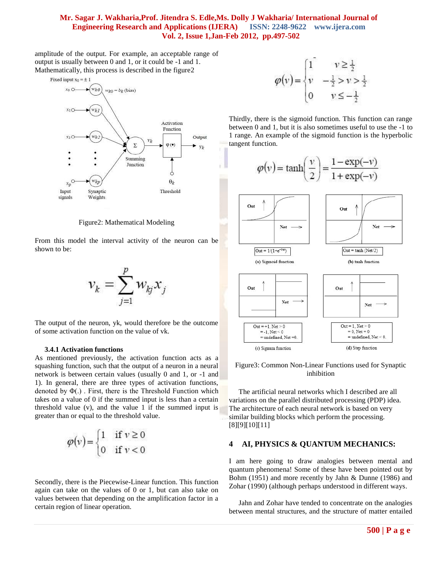amplitude of the output. For example, an acceptable range of output is usually between 0 and 1, or it could be -1 and 1. Mathematically, this process is described in the figure2



Figure2: Mathematical Modeling

From this model the interval activity of the neuron can be shown to be:



The output of the neuron, yk, would therefore be the outcome of some activation function on the value of vk.

#### **3.4.1 Activation functions**

As mentioned previously, the activation function acts as a squashing function, such that the output of a neuron in a neural network is between certain values (usually 0 and 1, or -1 and 1). In general, there are three types of activation functions, denoted by Φ(.) . First, there is the Threshold Function which takes on a value of 0 if the summed input is less than a certain threshold value (v), and the value 1 if the summed input is greater than or equal to the threshold value.

$$
\varphi(v) = \begin{cases} 1 & \text{if } v \ge 0 \\ 0 & \text{if } v < 0 \end{cases}
$$

Secondly, there is the Piecewise-Linear function. This function again can take on the values of 0 or 1, but can also take on values between that depending on the amplification factor in a certain region of linear operation.

$$
\varphi(v) = \begin{cases} 1 & v \ge \frac{1}{2} \\ v & -\frac{1}{2} > v > \frac{1}{2} \\ 0 & v \le -\frac{1}{2} \end{cases}
$$

Thirdly, there is the sigmoid function. This function can range between 0 and 1, but it is also sometimes useful to use the -1 to 1 range. An example of the sigmoid function is the hyperbolic tangent function.



Figure3: Common Non-Linear Functions used for Synaptic inhibition

The artificial neural networks which I described are all variations on the parallel distributed processing (PDP) idea. The architecture of each neural network is based on very similar building blocks which perform the processing. [8][9][10][11]

## **4 AI, PHYSICS & QUANTUM MECHANICS:**

I am here going to draw analogies between mental and quantum phenomena! Some of these have been pointed out by Bohm (1951) and more recently by Jahn & Dunne (1986) and Zohar (1990) (although perhaps understood in different ways.

Jahn and Zohar have tended to concentrate on the analogies between mental structures, and the structure of matter entailed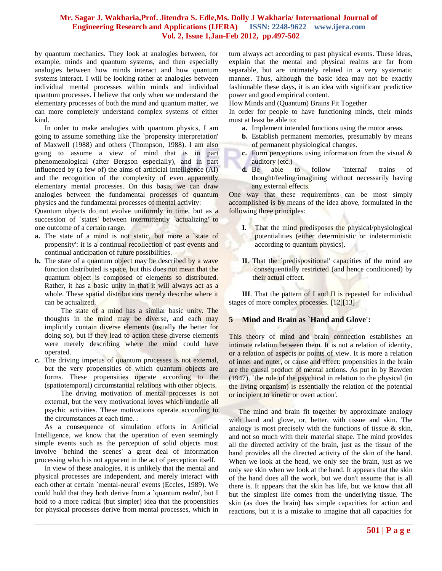by quantum mechanics. They look at analogies between, for example, minds and quantum systems, and then especially analogies between how minds interact and how quantum systems interact. I will be looking rather at analogies between individual mental processes within minds and individual quantum processes. I believe that only when we understand the elementary processes of both the mind and quantum matter, we can more completely understand complex systems of either kind.

In order to make analogies with quantum physics, I am going to assume something like the `propensity interpretation' of Maxwell (1988) and others (Thompson, 1988). I am also going to assume a view of mind that is in part phenomenological (after Bergson especially), and in part influenced by (a few of) the aims of artificial intelligence (AI) and the recognition of the complexity of even apparently elementary mental processes. On this basis, we can draw analogies between the fundamental processes of quantum physics and the fundamental processes of mental activity:

Quantum objects do not evolve uniformly in time, but as a succession of `states' between intermittently `actualizing' to one outcome of a certain range.

- **a.** The state of a mind is not static, but more a state of propensity': it is a continual recollection of past events and continual anticipation of future possibilities.
- **b.** The state of a quantum object may be described by a wave function distributed is space, but this does not mean that the quantum object is composed of elements so distributed. Rather, it has a basic unity in that it will always act as a whole. These spatial distributions merely describe where it can be actualized.

The state of a mind has a similar basic unity. The thoughts in the mind may be diverse, and each may implicitly contain diverse elements (usually the better for doing so), but if they lead to action these diverse elements were merely describing where the mind could have operated.

**c.** The driving impetus of quantum processes is not external, but the very propensities of which quantum objects are forms. These propensities operate according to the (spatiotemporal) circumstantial relations with other objects.

The driving motivation of mental processes is not external, but the very motivational loves which underlie all psychic activities. These motivations operate according to the circumstances at each time. .

As a consequence of simulation efforts in Artificial Intelligence, we know that the operation of even seemingly simple events such as the perception of solid objects must involve `behind the scenes' a great deal of information processing which is not apparent in the act of perception itself.

In view of these analogies, it is unlikely that the mental and physical processes are independent, and merely interact with each other at certain `mental-neural' events (Eccles, 1989). We could hold that they both derive from a `quantum realm', but I hold to a more radical (but simpler) idea that the propensities for physical processes derive from mental processes, which in turn always act according to past physical events. These ideas, explain that the mental and physical realms are far from separable, but are intimately related in a very systematic manner. Thus, although the basic idea may not be exactly fashionable these days, it is an idea with significant predictive power and good empirical content.

How Minds and (Quantum) Brains Fit Together

In order for people to have functioning minds, their minds must at least be able to:

- **a.** Implement intended functions using the motor areas.
- **b.** Establish permanent memories, presumably by means of permanent physiological changes.
- **c.** Form perceptions using information from the visual & auditory (etc.)
- **d.** Be able to follow `internal' trains of thought/feeling/imagining without necessarily having any external effects.

One way that these requirements can be most simply accomplished is by means of the idea above, formulated in the following three principles:

- **I.** That the mind predisposes the physical/physiological potentialities (either deterministic or indeterministic according to quantum physics).
- **II**. That the `predispositional' capacities of the mind are consequentially restricted (and hence conditioned) by their actual effect.

**III**. That the pattern of I and II is repeated for individual stages of more complex processes. [12][13]

## **5 Mind and Brain as `Hand and Glove':**

This theory of mind and brain connection establishes an intimate relation between them. It is not a relation of identity, or a relation of aspects or points of view. It is more a relation of inner and outer, or cause and effect: propensities in the brain are the causal product of mental actions. As put in by Bawden (1947), `the role of the psychical in relation to the physical (in the living organism) is essentially the relation of the potential or incipient to kinetic or overt action'.

The mind and brain fit together by approximate analogy with hand and glove, or, better, with tissue and skin. The analogy is most precisely with the functions of tissue & skin, and not so much with their material shape. The mind provides all the directed activity of the brain, just as the tissue of the hand provides all the directed activity of the skin of the hand. When we look at the head, we only see the brain, just as we only see skin when we look at the hand. It appears that the skin of the hand does all the work, but we don't assume that is all there is. It appears that the skin has life, but we know that all but the simplest life comes from the underlying tissue. The skin (as does the brain) has simple capacities for action and reactions, but it is a mistake to imagine that all capacities for